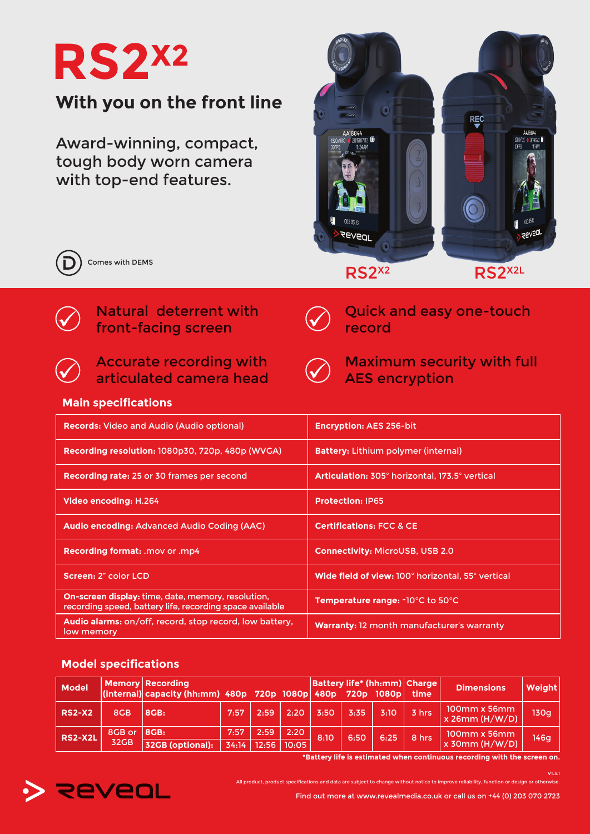

Award-winning, compact, tough body worn camera with top-end features.





Comes with DEMS



## Accurate recording with articulated camera head



 $\left(\bigvee\right)$ 

record

Maximum security with full AES encryption

Quick and easy one-touch

## **Main specifications**

| <b>Records: Video and Audio (Audio optional)</b>                                                               | <b>Encryption: AES 256-bit</b>                    |
|----------------------------------------------------------------------------------------------------------------|---------------------------------------------------|
| Recording resolution: 1080p30, 720p, 480p (WVGA)                                                               | <b>Battery: Lithium polymer (internal)</b>        |
| Recording rate: 25 or 30 frames per second                                                                     | Articulation: 305° horizontal, 173.5° vertical    |
| Video encoding: H.264                                                                                          | <b>Protection: IP65</b>                           |
| Audio encoding: Advanced Audio Coding (AAC)                                                                    | <b>Certifications: FCC &amp; CE</b>               |
| Recording format: .mov or .mp4                                                                                 | <b>Connectivity: MicroUSB, USB 2.0</b>            |
| Screen: 2" color LCD                                                                                           | Wide field of view: 100° horizontal, 55° vertical |
| On-screen display: time, date, memory, resolution,<br>recording speed, battery life, recording space available | Temperature range: -10°C to 50°C                  |
| Audio alarms: on/off, record, stop record, low battery,<br>low memory                                          | Warranty: 12 month manufacturer's warranty        |

## **Model specifications**

| <b>Model</b>   |        | <b>Memory Recording</b><br>$ $ (internal) capacity (hh:mm) 480p 720p 1080p 480p 720p 1080p time |      |      |                       |      |      |      | Battery life* (hh:mm) Charge | <b>Dimensions</b>             | <b>Weight</b> |
|----------------|--------|-------------------------------------------------------------------------------------------------|------|------|-----------------------|------|------|------|------------------------------|-------------------------------|---------------|
| <b>RS2-X2</b>  | 8GB    | 8GB:                                                                                            | 7:57 | 2:59 | 2:20'                 | 3:50 | 3:35 | 3:10 | 3 hrs                        | 100mm x 56mm<br>x 26mm(H/W/D) | 130a          |
| <b>RS2-X2L</b> | 8GB or | 8GB:                                                                                            | 7:57 | 2.59 | 2:20                  | 8:10 | 6:50 | 6:25 | 8 hrs                        | 100mm x 56mm                  | 146a          |
|                | 32GB   | 32GB (optional):                                                                                |      |      | 34:14   12:56   10:05 |      |      |      |                              | x 30mm (H/W/D)                |               |

**\*Battery life is estimated when continuous recording with the screen on.**

V1.3.1



All product, product specifications and data are subject to change without notice to improve reliability, function or design or otherwise.

Find out more at www.revealmedia.co.uk or call us on +44 (0) 203 070 2723